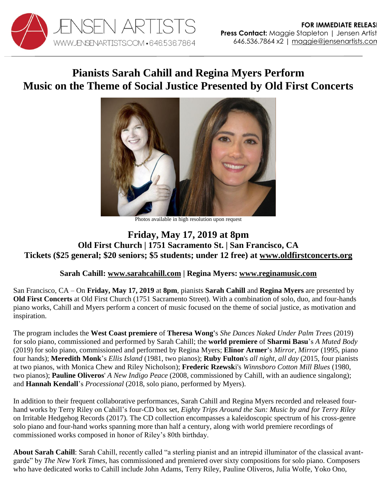

## **Pianists Sarah Cahill and Regina Myers Perform Music on the Theme of Social Justice Presented by Old First Concerts**



Photos available in high resolution upon request

## **Friday, May 17, 2019 at 8pm Old First Church | 1751 Sacramento St. | San Francisco, CA Tickets (\$25 general; \$20 seniors; \$5 students; under 12 free) at [www.oldfirstconcerts.org](https://www.oldfirstconcerts.org/performance/sarah-cahill-regina-myers-friday-may-17-at-8-pm/)**

## **Sarah Cahill: [www.sarahcahill.com](http://www.sarahcahill.com/) | Regina Myers: [www.reginamusic.com](http://www.reginamusic.com/)**

San Francisco, CA – On **Friday, May 17, 2019** at **8pm**, pianists **Sarah Cahill** and **Regina Myers** are presented by **Old First Concerts** at Old First Church (1751 Sacramento Street). With a combination of solo, duo, and four-hands piano works, Cahill and Myers perform a concert of music focused on the theme of social justice, as motivation and inspiration.

The program includes the **West Coast premiere** of **Theresa Wong'**s *She Dances Naked Under Palm Trees* (2019) for solo piano, commissioned and performed by Sarah Cahill; the **world premiere** of **Sharmi Basu**'s *A Muted Body* (2019) for solo piano, commissioned and performed by Regina Myers; **Elinor Armer'**s *Mirror, Mirror* (1995, piano four hands); **Meredith Monk**'s *Ellis Island* (1981, two pianos); **Ruby Fulton**'s *all night, all day* (2015, four pianists at two pianos, with Monica Chew and Riley Nicholson); **Frederic Rzewsk**i's *Winnsboro Cotton Mill Blues* (1980, two pianos); **Pauline Oliveros**' *A New Indigo Peace* (2008, commissioned by Cahill, with an audience singalong); and **Hannah Kendall**'s *Processional* (2018, solo piano, performed by Myers).

In addition to their frequent collaborative performances, Sarah Cahill and Regina Myers recorded and released fourhand works by Terry Riley on Cahill's four-CD box set, *Eighty Trips Around the Sun: Music by and for Terry Riley* on Irritable Hedgehog Records (2017)*.* The CD collection encompasses a kaleidoscopic spectrum of his cross-genre solo piano and four-hand works spanning more than half a century, along with world premiere recordings of commissioned works composed in honor of Riley's 80th birthday.

**About Sarah Cahill**: Sarah Cahill, recently called "a sterling pianist and an intrepid illuminator of the classical avantgarde" by *The New York Times,* has commissioned and premiered over sixty compositions for solo piano. Composers who have dedicated works to Cahill include John Adams, Terry Riley, Pauline Oliveros, Julia Wolfe, Yoko Ono,